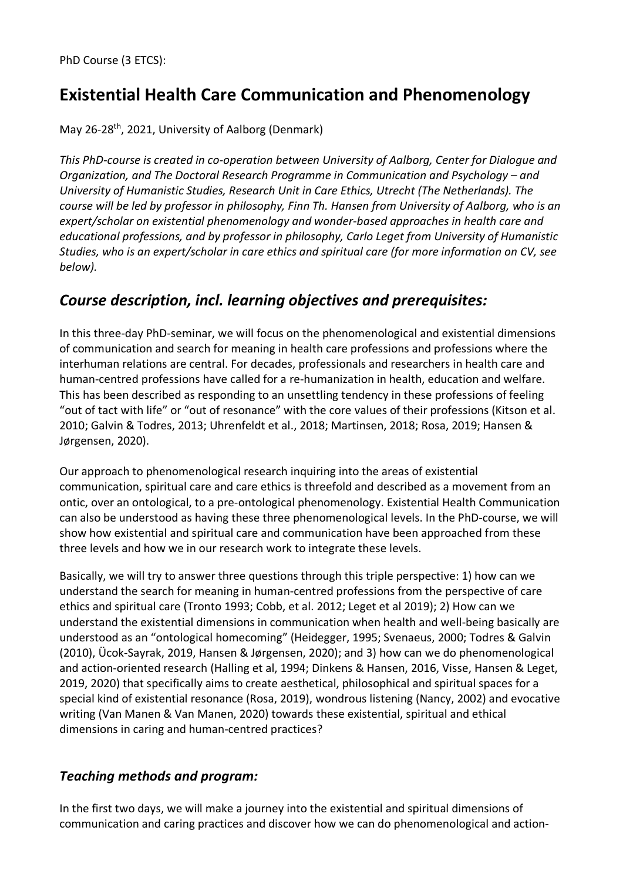# **Existential Health Care Communication and Phenomenology**

May 26-28<sup>th</sup>, 2021, University of Aalborg (Denmark)

*This PhD-course is created in co-operation between University of Aalborg, Center for Dialogue and Organization, and The Doctoral Research Programme in Communication and Psychology – and University of Humanistic Studies, Research Unit in Care Ethics, Utrecht (The Netherlands). The course will be led by professor in philosophy, Finn Th. Hansen from University of Aalborg, who is an expert/scholar on existential phenomenology and wonder-based approaches in health care and educational professions, and by professor in philosophy, Carlo Leget from University of Humanistic Studies, who is an expert/scholar in care ethics and spiritual care (for more information on CV, see below).* 

### *Course description, incl. learning objectives and prerequisites:*

In this three-day PhD-seminar, we will focus on the phenomenological and existential dimensions of communication and search for meaning in health care professions and professions where the interhuman relations are central. For decades, professionals and researchers in health care and human-centred professions have called for a re-humanization in health, education and welfare. This has been described as responding to an unsettling tendency in these professions of feeling "out of tact with life" or "out of resonance" with the core values of their professions (Kitson et al. 2010; Galvin & Todres, 2013; Uhrenfeldt et al., 2018; Martinsen, 2018; Rosa, 2019; Hansen & Jørgensen, 2020).

Our approach to phenomenological research inquiring into the areas of existential communication, spiritual care and care ethics is threefold and described as a movement from an ontic, over an ontological, to a pre-ontological phenomenology. Existential Health Communication can also be understood as having these three phenomenological levels. In the PhD-course, we will show how existential and spiritual care and communication have been approached from these three levels and how we in our research work to integrate these levels.

Basically, we will try to answer three questions through this triple perspective: 1) how can we understand the search for meaning in human-centred professions from the perspective of care ethics and spiritual care (Tronto 1993; Cobb, et al. 2012; Leget et al 2019); 2) How can we understand the existential dimensions in communication when health and well-being basically are understood as an "ontological homecoming" (Heidegger, 1995; Svenaeus, 2000; Todres & Galvin (2010), Ücok-Sayrak, 2019, Hansen & Jørgensen, 2020); and 3) how can we do phenomenological and action-oriented research (Halling et al, 1994; Dinkens & Hansen, 2016, Visse, Hansen & Leget, 2019, 2020) that specifically aims to create aesthetical, philosophical and spiritual spaces for a special kind of existential resonance (Rosa, 2019), wondrous listening (Nancy, 2002) and evocative writing (Van Manen & Van Manen, 2020) towards these existential, spiritual and ethical dimensions in caring and human-centred practices?

### *Teaching methods and program:*

In the first two days, we will make a journey into the existential and spiritual dimensions of communication and caring practices and discover how we can do phenomenological and action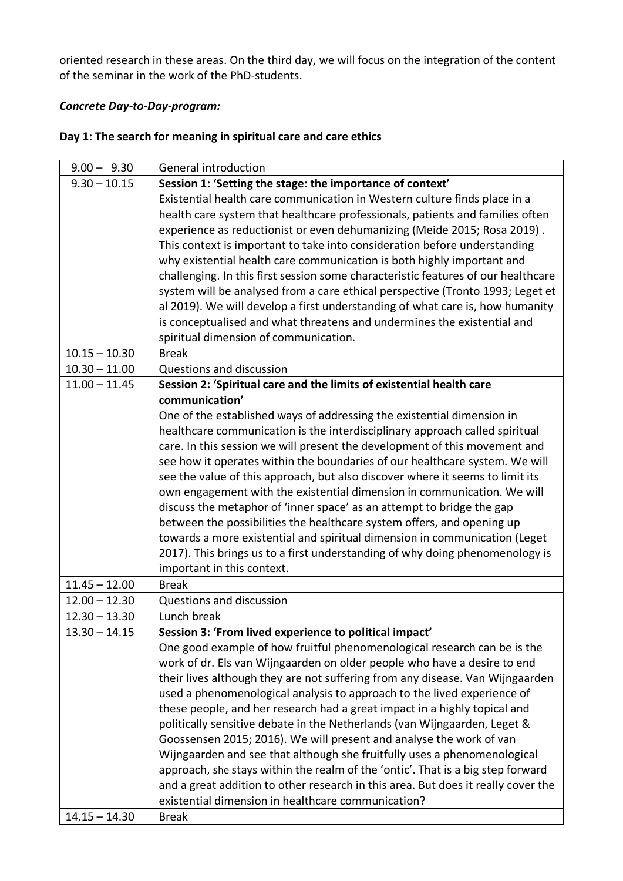oriented research in these areas. On the third day, we will focus on the integration of the content of the seminar in the work of the PhD-students.

#### *Concrete Day-to-Day-program:*

#### **Day 1: The search for meaning in spiritual care and care ethics**

| $9.00 - 9.30$   | General introduction                                                                                                                                                 |
|-----------------|----------------------------------------------------------------------------------------------------------------------------------------------------------------------|
| $9.30 - 10.15$  | Session 1: 'Setting the stage: the importance of context'                                                                                                            |
|                 | Existential health care communication in Western culture finds place in a                                                                                            |
|                 | health care system that healthcare professionals, patients and families often                                                                                        |
|                 | experience as reductionist or even dehumanizing (Meide 2015; Rosa 2019).                                                                                             |
|                 | This context is important to take into consideration before understanding                                                                                            |
|                 | why existential health care communication is both highly important and                                                                                               |
|                 | challenging. In this first session some characteristic features of our healthcare                                                                                    |
|                 | system will be analysed from a care ethical perspective (Tronto 1993; Leget et                                                                                       |
|                 | al 2019). We will develop a first understanding of what care is, how humanity                                                                                        |
|                 | is conceptualised and what threatens and undermines the existential and                                                                                              |
|                 | spiritual dimension of communication.                                                                                                                                |
| $10.15 - 10.30$ | <b>Break</b>                                                                                                                                                         |
| $10.30 - 11.00$ | Questions and discussion                                                                                                                                             |
| $11.00 - 11.45$ | Session 2: 'Spiritual care and the limits of existential health care                                                                                                 |
|                 | communication'                                                                                                                                                       |
|                 | One of the established ways of addressing the existential dimension in                                                                                               |
|                 | healthcare communication is the interdisciplinary approach called spiritual                                                                                          |
|                 | care. In this session we will present the development of this movement and                                                                                           |
|                 | see how it operates within the boundaries of our healthcare system. We will                                                                                          |
|                 | see the value of this approach, but also discover where it seems to limit its                                                                                        |
|                 | own engagement with the existential dimension in communication. We will                                                                                              |
|                 | discuss the metaphor of 'inner space' as an attempt to bridge the gap                                                                                                |
|                 | between the possibilities the healthcare system offers, and opening up                                                                                               |
|                 | towards a more existential and spiritual dimension in communication (Leget                                                                                           |
|                 | 2017). This brings us to a first understanding of why doing phenomenology is                                                                                         |
|                 | important in this context.                                                                                                                                           |
| $11.45 - 12.00$ | <b>Break</b>                                                                                                                                                         |
| $12.00 - 12.30$ | Questions and discussion                                                                                                                                             |
| $12.30 - 13.30$ | Lunch break                                                                                                                                                          |
| $13.30 - 14.15$ | Session 3: 'From lived experience to political impact'                                                                                                               |
|                 | One good example of how fruitful phenomenological research can be is the                                                                                             |
|                 | work of dr. Els van Wijngaarden on older people who have a desire to end                                                                                             |
|                 | their lives although they are not suffering from any disease. Van Wijngaarden                                                                                        |
|                 | used a phenomenological analysis to approach to the lived experience of                                                                                              |
|                 | these people, and her research had a great impact in a highly topical and                                                                                            |
|                 | politically sensitive debate in the Netherlands (van Wijngaarden, Leget &                                                                                            |
|                 | Goossensen 2015; 2016). We will present and analyse the work of van                                                                                                  |
|                 | Wijngaarden and see that although she fruitfully uses a phenomenological                                                                                             |
|                 | approach, she stays within the realm of the 'ontic'. That is a big step forward<br>and a great addition to other research in this area. But does it really cover the |
|                 | existential dimension in healthcare communication?                                                                                                                   |
| $14.15 - 14.30$ | <b>Break</b>                                                                                                                                                         |
|                 |                                                                                                                                                                      |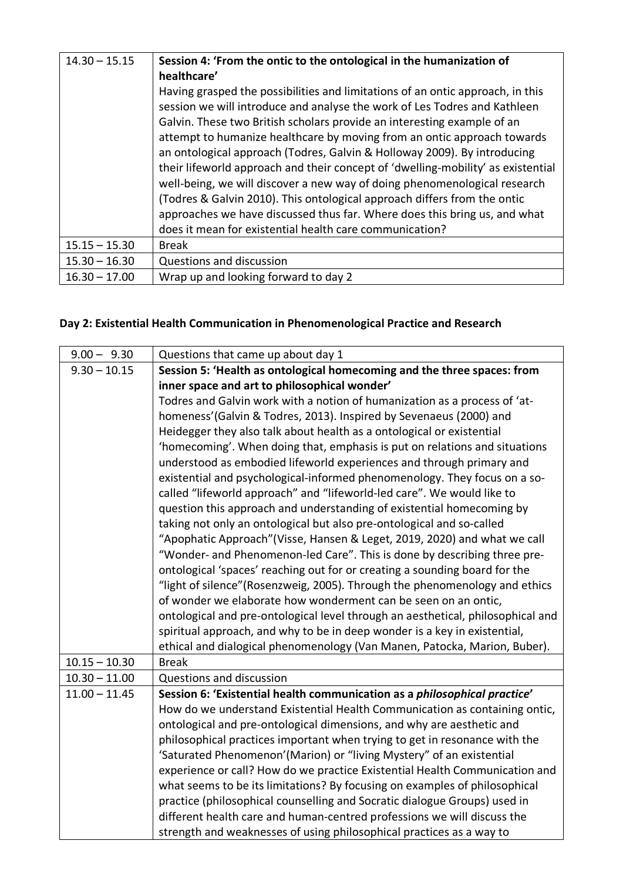| $14.30 - 15.15$ | Session 4: 'From the ontic to the ontological in the humanization of             |
|-----------------|----------------------------------------------------------------------------------|
|                 | healthcare'                                                                      |
|                 | Having grasped the possibilities and limitations of an ontic approach, in this   |
|                 | session we will introduce and analyse the work of Les Todres and Kathleen        |
|                 | Galvin. These two British scholars provide an interesting example of an          |
|                 | attempt to humanize healthcare by moving from an ontic approach towards          |
|                 | an ontological approach (Todres, Galvin & Holloway 2009). By introducing         |
|                 | their lifeworld approach and their concept of 'dwelling-mobility' as existential |
|                 | well-being, we will discover a new way of doing phenomenological research        |
|                 | (Todres & Galvin 2010). This ontological approach differs from the ontic         |
|                 | approaches we have discussed thus far. Where does this bring us, and what        |
|                 | does it mean for existential health care communication?                          |
| $15.15 - 15.30$ | Break                                                                            |
| $15.30 - 16.30$ | Questions and discussion                                                         |
| $16.30 - 17.00$ | Wrap up and looking forward to day 2                                             |

## **Day 2: Existential Health Communication in Phenomenological Practice and Research**

| $9.00 - 9.30$   | Questions that came up about day 1                                              |
|-----------------|---------------------------------------------------------------------------------|
| $9.30 - 10.15$  | Session 5: 'Health as ontological homecoming and the three spaces: from         |
|                 | inner space and art to philosophical wonder'                                    |
|                 | Todres and Galvin work with a notion of humanization as a process of 'at-       |
|                 | homeness' (Galvin & Todres, 2013). Inspired by Sevenaeus (2000) and             |
|                 |                                                                                 |
|                 | Heidegger they also talk about health as a ontological or existential           |
|                 | 'homecoming'. When doing that, emphasis is put on relations and situations      |
|                 | understood as embodied lifeworld experiences and through primary and            |
|                 | existential and psychological-informed phenomenology. They focus on a so-       |
|                 | called "lifeworld approach" and "lifeworld-led care". We would like to          |
|                 | question this approach and understanding of existential homecoming by           |
|                 | taking not only an ontological but also pre-ontological and so-called           |
|                 | "Apophatic Approach" (Visse, Hansen & Leget, 2019, 2020) and what we call       |
|                 | "Wonder- and Phenomenon-led Care". This is done by describing three pre-        |
|                 | ontological 'spaces' reaching out for or creating a sounding board for the      |
|                 | "light of silence" (Rosenzweig, 2005). Through the phenomenology and ethics     |
|                 | of wonder we elaborate how wonderment can be seen on an ontic,                  |
|                 | ontological and pre-ontological level through an aesthetical, philosophical and |
|                 | spiritual approach, and why to be in deep wonder is a key in existential,       |
|                 | ethical and dialogical phenomenology (Van Manen, Patocka, Marion, Buber).       |
| $10.15 - 10.30$ | <b>Break</b>                                                                    |
| $10.30 - 11.00$ | Questions and discussion                                                        |
| $11.00 - 11.45$ | Session 6: 'Existential health communication as a philosophical practice'       |
|                 | How do we understand Existential Health Communication as containing ontic,      |
|                 | ontological and pre-ontological dimensions, and why are aesthetic and           |
|                 | philosophical practices important when trying to get in resonance with the      |
|                 | 'Saturated Phenomenon' (Marion) or "living Mystery" of an existential           |
|                 | experience or call? How do we practice Existential Health Communication and     |
|                 | what seems to be its limitations? By focusing on examples of philosophical      |
|                 | practice (philosophical counselling and Socratic dialogue Groups) used in       |
|                 | different health care and human-centred professions we will discuss the         |
|                 | strength and weaknesses of using philosophical practices as a way to            |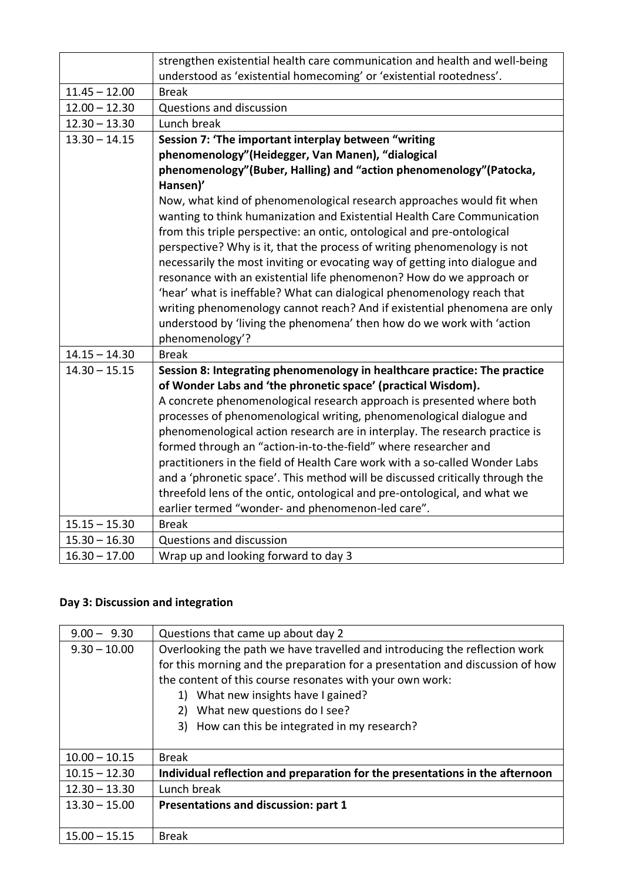|                 | strengthen existential health care communication and health and well-being    |
|-----------------|-------------------------------------------------------------------------------|
|                 | understood as 'existential homecoming' or 'existential rootedness'.           |
| $11.45 - 12.00$ | <b>Break</b>                                                                  |
| $12.00 - 12.30$ | Questions and discussion                                                      |
| $12.30 - 13.30$ | Lunch break                                                                   |
| $13.30 - 14.15$ | Session 7: 'The important interplay between "writing                          |
|                 | phenomenology"(Heidegger, Van Manen), "dialogical                             |
|                 | phenomenology"(Buber, Halling) and "action phenomenology"(Patocka,            |
|                 | Hansen)'                                                                      |
|                 | Now, what kind of phenomenological research approaches would fit when         |
|                 | wanting to think humanization and Existential Health Care Communication       |
|                 | from this triple perspective: an ontic, ontological and pre-ontological       |
|                 | perspective? Why is it, that the process of writing phenomenology is not      |
|                 | necessarily the most inviting or evocating way of getting into dialogue and   |
|                 | resonance with an existential life phenomenon? How do we approach or          |
|                 | 'hear' what is ineffable? What can dialogical phenomenology reach that        |
|                 | writing phenomenology cannot reach? And if existential phenomena are only     |
|                 | understood by 'living the phenomena' then how do we work with 'action         |
|                 | phenomenology'?                                                               |
| $14.15 - 14.30$ | <b>Break</b>                                                                  |
| $14.30 - 15.15$ | Session 8: Integrating phenomenology in healthcare practice: The practice     |
|                 | of Wonder Labs and 'the phronetic space' (practical Wisdom).                  |
|                 | A concrete phenomenological research approach is presented where both         |
|                 | processes of phenomenological writing, phenomenological dialogue and          |
|                 | phenomenological action research are in interplay. The research practice is   |
|                 | formed through an "action-in-to-the-field" where researcher and               |
|                 | practitioners in the field of Health Care work with a so-called Wonder Labs   |
|                 | and a 'phronetic space'. This method will be discussed critically through the |
|                 | threefold lens of the ontic, ontological and pre-ontological, and what we     |
|                 |                                                                               |
|                 | earlier termed "wonder- and phenomenon-led care".                             |
| $15.15 - 15.30$ | <b>Break</b>                                                                  |
| $15.30 - 16.30$ | Questions and discussion                                                      |
| $16.30 - 17.00$ | Wrap up and looking forward to day 3                                          |

### **Day 3: Discussion and integration**

| $9.00 - 9.30$   | Questions that came up about day 2                                                                                                                                                                                                                                                                                                                       |
|-----------------|----------------------------------------------------------------------------------------------------------------------------------------------------------------------------------------------------------------------------------------------------------------------------------------------------------------------------------------------------------|
| $9.30 - 10.00$  | Overlooking the path we have travelled and introducing the reflection work<br>for this morning and the preparation for a presentation and discussion of how<br>the content of this course resonates with your own work:<br>What new insights have I gained?<br>1)<br>What new questions do I see?<br>2)<br>3) How can this be integrated in my research? |
| $10.00 - 10.15$ | <b>Break</b>                                                                                                                                                                                                                                                                                                                                             |
| $10.15 - 12.30$ | Individual reflection and preparation for the presentations in the afternoon                                                                                                                                                                                                                                                                             |
| $12.30 - 13.30$ | Lunch break                                                                                                                                                                                                                                                                                                                                              |
| $13.30 - 15.00$ | Presentations and discussion: part 1                                                                                                                                                                                                                                                                                                                     |
| $15.00 - 15.15$ | <b>Break</b>                                                                                                                                                                                                                                                                                                                                             |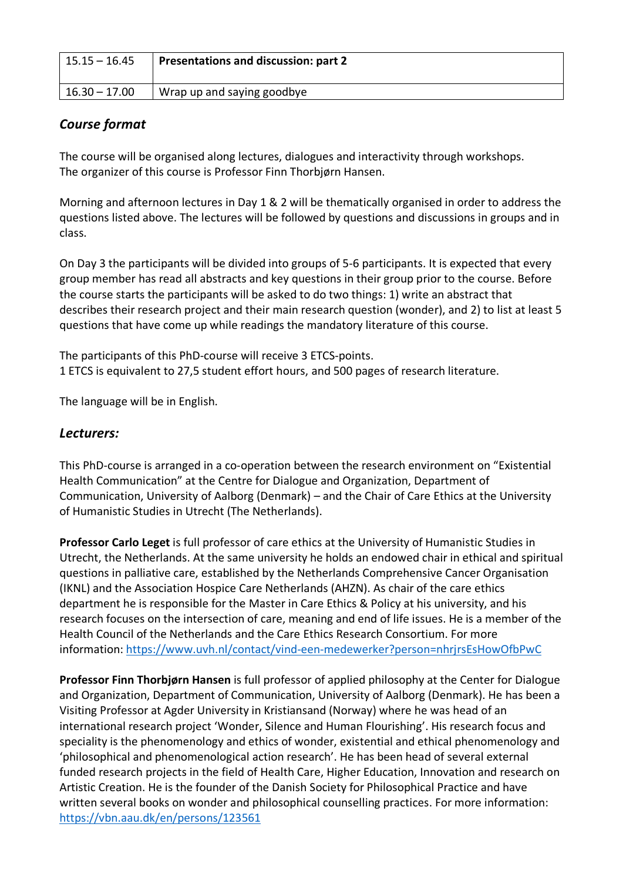| $15.15 - 16.45$ | <b>Presentations and discussion: part 2</b> |
|-----------------|---------------------------------------------|
| 16.30 – 17.00   | Wrap up and saying goodbye                  |

### *Course format*

The course will be organised along lectures, dialogues and interactivity through workshops. The organizer of this course is Professor Finn Thorbjørn Hansen.

Morning and afternoon lectures in Day 1 & 2 will be thematically organised in order to address the questions listed above. The lectures will be followed by questions and discussions in groups and in class.

On Day 3 the participants will be divided into groups of 5-6 participants. It is expected that every group member has read all abstracts and key questions in their group prior to the course. Before the course starts the participants will be asked to do two things: 1) write an abstract that describes their research project and their main research question (wonder), and 2) to list at least 5 questions that have come up while readings the mandatory literature of this course.

The participants of this PhD-course will receive 3 ETCS-points. 1 ETCS is equivalent to 27,5 student effort hours, and 500 pages of research literature.

The language will be in English.

### *Lecturers:*

This PhD-course is arranged in a co-operation between the research environment on "Existential Health Communication" at the Centre for Dialogue and Organization, Department of Communication, University of Aalborg (Denmark) – and the Chair of Care Ethics at the University of Humanistic Studies in Utrecht (The Netherlands).

**Professor Carlo Leget** is full professor of care ethics at the University of Humanistic Studies in Utrecht, the Netherlands. At the same university he holds an endowed chair in ethical and spiritual questions in palliative care, established by the Netherlands Comprehensive Cancer Organisation (IKNL) and the Association Hospice Care Netherlands (AHZN). As chair of the care ethics department he is responsible for the Master in Care Ethics & Policy at his university, and his research focuses on the intersection of care, meaning and end of life issues. He is a member of the Health Council of the Netherlands and the Care Ethics Research Consortium. For more information: https://www.uvh.nl/contact/vind-een-medewerker?person=nhrjrsEsHowOfbPwC

**Professor Finn Thorbjørn Hansen** is full professor of applied philosophy at the Center for Dialogue and Organization, Department of Communication, University of Aalborg (Denmark). He has been a Visiting Professor at Agder University in Kristiansand (Norway) where he was head of an international research project 'Wonder, Silence and Human Flourishing'. His research focus and speciality is the phenomenology and ethics of wonder, existential and ethical phenomenology and 'philosophical and phenomenological action research'. He has been head of several external funded research projects in the field of Health Care, Higher Education, Innovation and research on Artistic Creation. He is the founder of the Danish Society for Philosophical Practice and have written several books on wonder and philosophical counselling practices. For more information: https://vbn.aau.dk/en/persons/123561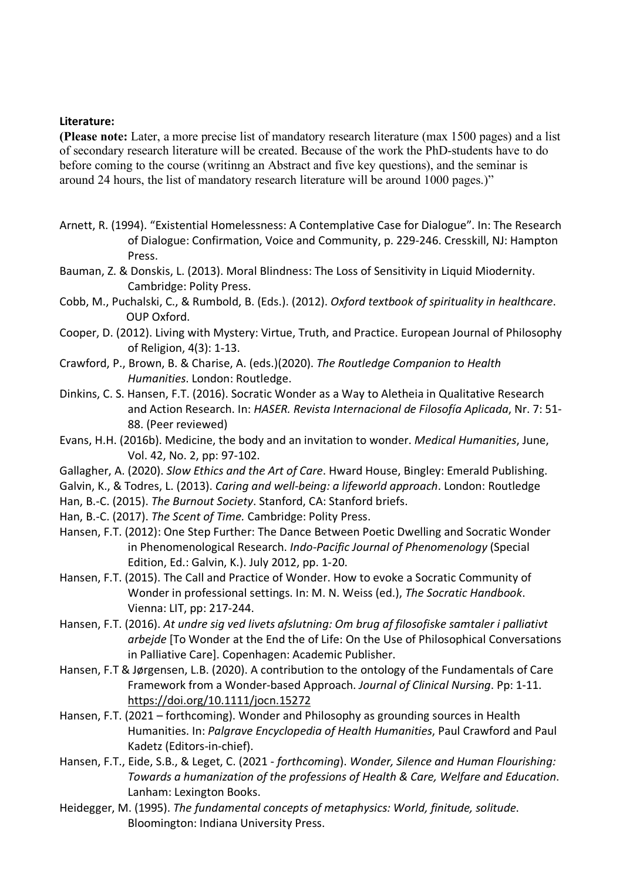#### **Literature:**

**(Please note:** Later, a more precise list of mandatory research literature (max 1500 pages) and a list of secondary research literature will be created. Because of the work the PhD-students have to do before coming to the course (writinng an Abstract and five key questions), and the seminar is around 24 hours, the list of mandatory research literature will be around 1000 pages.)"

- Arnett, R. (1994). "Existential Homelessness: A Contemplative Case for Dialogue". In: The Research of Dialogue: Confirmation, Voice and Community, p. 229-246. Cresskill, NJ: Hampton Press.
- Bauman, Z. & Donskis, L. (2013). Moral Blindness: The Loss of Sensitivity in Liquid Miodernity. Cambridge: Polity Press.
- Cobb, M., Puchalski, C., & Rumbold, B. (Eds.). (2012). *Oxford textbook of spirituality in healthcare*. OUP Oxford.
- Cooper, D. (2012). Living with Mystery: Virtue, Truth, and Practice. European Journal of Philosophy of Religion, 4(3): 1-13.
- Crawford, P., Brown, B. & Charise, A. (eds.)(2020). *The Routledge Companion to Health Humanities*. London: Routledge.
- Dinkins, C. S. Hansen, F.T. (2016). Socratic Wonder as a Way to Aletheia in Qualitative Research and Action Research. In: *HASER. Revista Internacional de Filosofía Aplicada*, Nr. 7: 51- 88. (Peer reviewed)
- Evans, H.H. (2016b). Medicine, the body and an invitation to wonder. *Medical Humanities*, June, Vol. 42, No. 2, pp: 97-102.
- Gallagher, A. (2020). *Slow Ethics and the Art of Care*. Hward House, Bingley: Emerald Publishing.
- Galvin, K., & Todres, L. (2013). *Caring and well-being: a lifeworld approach*. London: Routledge
- Han, B.-C. (2015). *The Burnout Society*. Stanford, CA: Stanford briefs.
- Han, B.-C. (2017). *The Scent of Time.* Cambridge: Polity Press.
- Hansen, F.T. (2012): One Step Further: The Dance Between Poetic Dwelling and Socratic Wonder in Phenomenological Research. *Indo-Pacific Journal of Phenomenology* (Special Edition, Ed.: Galvin, K.). July 2012, pp. 1-20.
- Hansen, F.T. (2015). The Call and Practice of Wonder. How to evoke a Socratic Community of Wonder in professional settings. In: M. N. Weiss (ed.), *The Socratic Handbook*. Vienna: LIT, pp: 217-244.
- Hansen, F.T. (2016). *At undre sig ved livets afslutning: Om brug af filosofiske samtaler i palliativt arbejde* [To Wonder at the End the of Life: On the Use of Philosophical Conversations in Palliative Care]. Copenhagen: Academic Publisher.
- Hansen, F.T & Jørgensen, L.B. (2020). A contribution to the ontology of the Fundamentals of Care Framework from a Wonder-based Approach. *Journal of Clinical Nursing*. Pp: 1-11. https://doi.org/10.1111/jocn.15272
- Hansen, F.T. (2021 forthcoming). Wonder and Philosophy as grounding sources in Health Humanities. In: *Palgrave Encyclopedia of Health Humanities*, Paul Crawford and Paul Kadetz (Editors-in-chief).
- Hansen, F.T., Eide, S.B., & Leget, C. (2021 *forthcoming*). *Wonder, Silence and Human Flourishing: Towards a humanization of the professions of Health & Care, Welfare and Education*. Lanham: Lexington Books.
- Heidegger, M. (1995). *The fundamental concepts of metaphysics: World, finitude, solitude*. Bloomington: Indiana University Press.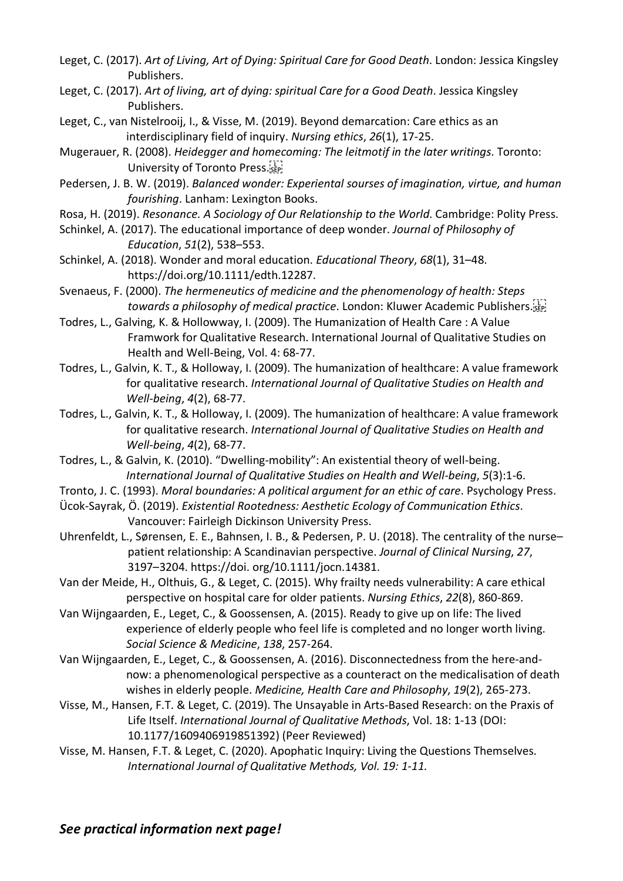- Leget, C. (2017). *Art of Living, Art of Dying: Spiritual Care for Good Death*. London: Jessica Kingsley Publishers.
- Leget, C. (2017). *Art of living, art of dying: spiritual Care for a Good Death*. Jessica Kingsley Publishers.
- Leget, C., van Nistelrooij, I., & Visse, M. (2019). Beyond demarcation: Care ethics as an interdisciplinary field of inquiry. *Nursing ethics*, *26*(1), 17-25.
- Mugerauer, R. (2008). *Heidegger and homecoming: The leitmotif in the later writings*. Toronto: University of Toronto Press.
- Pedersen, J. B. W. (2019). *Balanced wonder: Experiental sourses of imagination, virtue, and human fourishing*. Lanham: Lexington Books.
- Rosa, H. (2019). *Resonance. A Sociology of Our Relationship to the World*. Cambridge: Polity Press.
- Schinkel, A. (2017). The educational importance of deep wonder. *Journal of Philosophy of Education*, *51*(2), 538–553.
- Schinkel, A. (2018). Wonder and moral education. *Educational Theory*, *68*(1), 31–48. https://doi.org/10.1111/edth.12287.
- Svenaeus, F. (2000). *The hermeneutics of medicine and the phenomenology of health: Steps towards a philosophy of medical practice*. London: Kluwer Academic Publishers.
- Todres, L., Galving, K. & Hollowway, I. (2009). The Humanization of Health Care : A Value Framwork for Qualitative Research. International Journal of Qualitative Studies on Health and Well-Being, Vol. 4: 68-77.
- Todres, L., Galvin, K. T., & Holloway, I. (2009). The humanization of healthcare: A value framework for qualitative research. *International Journal of Qualitative Studies on Health and Well-being*, *4*(2), 68-77.
- Todres, L., Galvin, K. T., & Holloway, I. (2009). The humanization of healthcare: A value framework for qualitative research. *International Journal of Qualitative Studies on Health and Well-being*, *4*(2), 68-77.
- Todres, L., & Galvin, K. (2010). "Dwelling-mobility": An existential theory of well-being. *International Journal of Qualitative Studies on Health and Well-being*, *5*(3):1-6.
- Tronto, J. C. (1993). *Moral boundaries: A political argument for an ethic of care*. Psychology Press.
- Ücok-Sayrak, Ö. (2019). *Existential Rootedness: Aesthetic Ecology of Communication Ethics*. Vancouver: Fairleigh Dickinson University Press.
- Uhrenfeldt, L., Sørensen, E. E., Bahnsen, I. B., & Pedersen, P. U. (2018). The centrality of the nurse– patient relationship: A Scandinavian perspective. *Journal of Clinical Nursing*, *27*, 3197–3204. https://doi. org/10.1111/jocn.14381.
- Van der Meide, H., Olthuis, G., & Leget, C. (2015). Why frailty needs vulnerability: A care ethical perspective on hospital care for older patients. *Nursing Ethics*, *22*(8), 860-869.
- Van Wijngaarden, E., Leget, C., & Goossensen, A. (2015). Ready to give up on life: The lived experience of elderly people who feel life is completed and no longer worth living. *Social Science & Medicine*, *138*, 257-264.
- Van Wijngaarden, E., Leget, C., & Goossensen, A. (2016). Disconnectedness from the here-andnow: a phenomenological perspective as a counteract on the medicalisation of death wishes in elderly people. *Medicine, Health Care and Philosophy*, *19*(2), 265-273.
- Visse, M., Hansen, F.T. & Leget, C. (2019). The Unsayable in Arts-Based Research: on the Praxis of Life Itself. *International Journal of Qualitative Methods*, Vol. 18: 1-13 (DOI: 10.1177/1609406919851392) (Peer Reviewed)
- Visse, M. Hansen, F.T. & Leget, C. (2020). Apophatic Inquiry: Living the Questions Themselves. *International Journal of Qualitative Methods, Vol. 19: 1-11.*

*See practical information next page!*